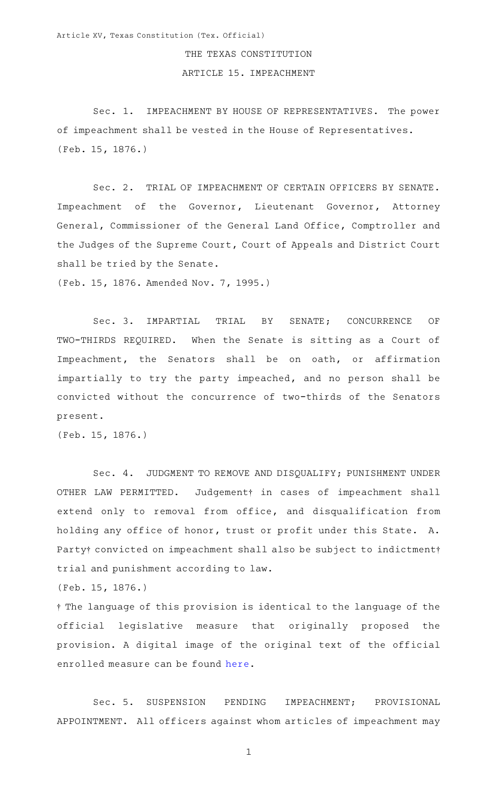## THE TEXAS CONSTITUTION

## ARTICLE 15. IMPEACHMENT

Sec. 1. IMPEACHMENT BY HOUSE OF REPRESENTATIVES. The power of impeachment shall be vested in the House of Representatives. (Feb. 15, 1876.)

Sec. 2. TRIAL OF IMPEACHMENT OF CERTAIN OFFICERS BY SENATE. Impeachment of the Governor, Lieutenant Governor, Attorney General, Commissioner of the General Land Office, Comptroller and the Judges of the Supreme Court, Court of Appeals and District Court shall be tried by the Senate.

(Feb. 15, 1876. Amended Nov. 7, 1995.)

Sec. 3. IMPARTIAL TRIAL BY SENATE; CONCURRENCE OF TWO-THIRDS REQUIRED. When the Senate is sitting as a Court of Impeachment, the Senators shall be on oath, or affirmation impartially to try the party impeached, and no person shall be convicted without the concurrence of two-thirds of the Senators present.

(Feb. 15, 1876.)

Sec. 4. JUDGMENT TO REMOVE AND DISQUALIFY; PUNISHMENT UNDER OTHER LAW PERMITTED. Judgement<sup>†</sup> in cases of impeachment shall extend only to removal from office, and disqualification from holding any office of honor, trust or profit under this State. A. Party† convicted on impeachment shall also be subject to indictment† trial and punishment according to law.

(Feb. 15, 1876.)

{ The language of this provision is identical to the language of the official legislative measure that originally proposed the provision. A digital image of the original text of the official enrolled measure can be found [here](https://www.statutes.capitol.texas.gov/docs/archivedscans/Art15.1-8_1875_constitution.jpg).

Sec. 5. SUSPENSION PENDING IMPEACHMENT; PROVISIONAL APPOINTMENT. All officers against whom articles of impeachment may

1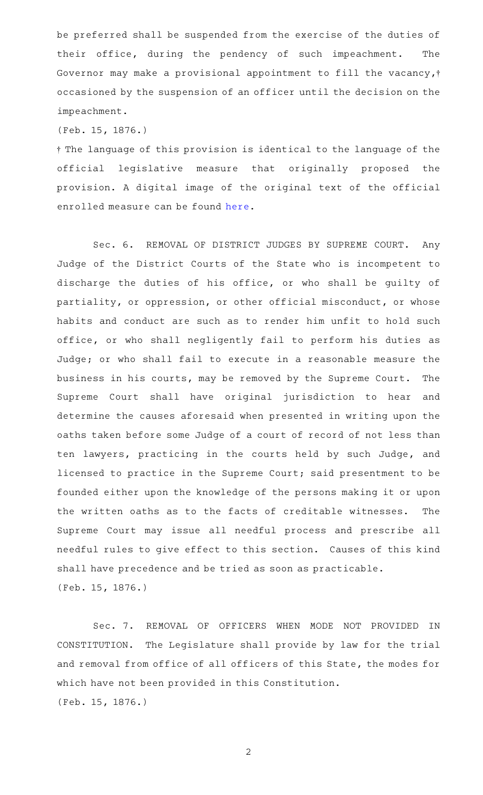be preferred shall be suspended from the exercise of the duties of their office, during the pendency of such impeachment. The Governor may make a provisional appointment to fill the vacancy,<sup>†</sup> occasioned by the suspension of an officer until the decision on the impeachment.

(Feb. 15, 1876.)

{ The language of this provision is identical to the language of the official legislative measure that originally proposed the provision. A digital image of the original text of the official enrolled measure can be found [here](https://www.statutes.capitol.texas.gov/docs/archivedscans/Art15.1-8_1875_constitution.jpg).

Sec. 6. REMOVAL OF DISTRICT JUDGES BY SUPREME COURT. Any Judge of the District Courts of the State who is incompetent to discharge the duties of his office, or who shall be guilty of partiality, or oppression, or other official misconduct, or whose habits and conduct are such as to render him unfit to hold such office, or who shall negligently fail to perform his duties as Judge; or who shall fail to execute in a reasonable measure the business in his courts, may be removed by the Supreme Court. The Supreme Court shall have original jurisdiction to hear and determine the causes aforesaid when presented in writing upon the oaths taken before some Judge of a court of record of not less than ten lawyers, practicing in the courts held by such Judge, and licensed to practice in the Supreme Court; said presentment to be founded either upon the knowledge of the persons making it or upon the written oaths as to the facts of creditable witnesses. The Supreme Court may issue all needful process and prescribe all needful rules to give effect to this section. Causes of this kind shall have precedence and be tried as soon as practicable. (Feb. 15, 1876.)

Sec. 7. REMOVAL OF OFFICERS WHEN MODE NOT PROVIDED IN CONSTITUTION. The Legislature shall provide by law for the trial and removal from office of all officers of this State, the modes for which have not been provided in this Constitution. (Feb. 15, 1876.)

2